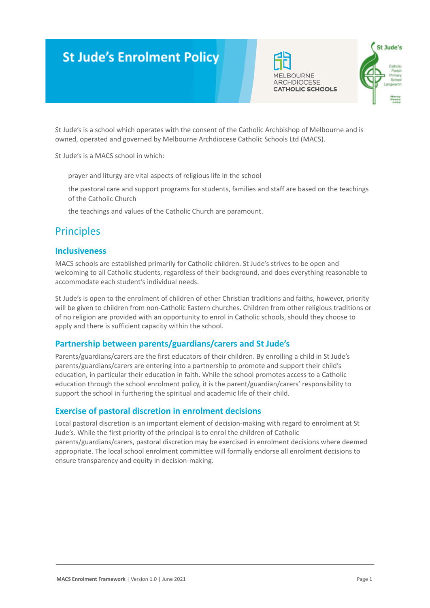# **St Jude's Enrolment Policy**





St Jude's is a school which operates with the consent of the Catholic Archbishop of Melbourne and is owned, operated and governed by Melbourne Archdiocese Catholic Schools Ltd (MACS).

St Jude's is a MACS school in which:

prayer and liturgy are vital aspects of religious life in the school

the pastoral care and support programs for students, families and staff are based on the teachings of the Catholic Church

the teachings and values of the Catholic Church are paramount.

# Principles

### **Inclusiveness**

MACS schools are established primarily for Catholic children. St Jude's strives to be open and welcoming to all Catholic students, regardless of their background, and does everything reasonable to accommodate each student's individual needs.

St Jude's is open to the enrolment of children of other Christian traditions and faiths, however, priority will be given to children from non-Catholic Eastern churches. Children from other religious traditions or of no religion are provided with an opportunity to enrol in Catholic schools, should they choose to apply and there is sufficient capacity within the school.

### **Partnership between parents/guardians/carers and St Jude's**

Parents/guardians/carers are the first educators of their children. By enrolling a child in St Jude's parents/guardians/carers are entering into a partnership to promote and support their child's education, in particular their education in faith. While the school promotes access to a Catholic education through the school enrolment policy, it is the parent/guardian/carers' responsibility to support the school in furthering the spiritual and academic life of their child.

### **Exercise of pastoral discretion in enrolment decisions**

Local pastoral discretion is an important element of decision-making with regard to enrolment at St Jude's. While the first priority of the principal is to enrol the children of Catholic parents/guardians/carers, pastoral discretion may be exercised in enrolment decisions where deemed appropriate. The local school enrolment committee will formally endorse all enrolment decisions to ensure transparency and equity in decision-making.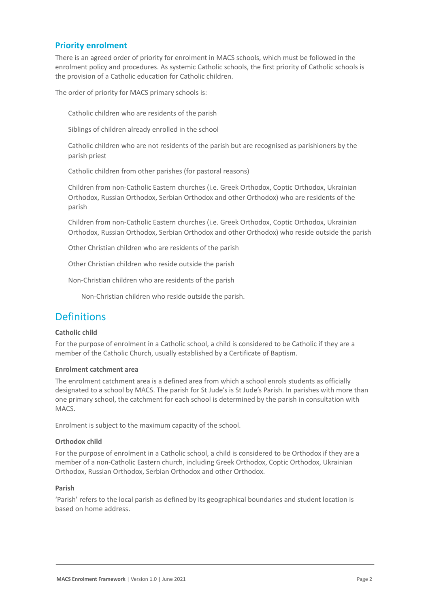### **Priority enrolment**

There is an agreed order of priority for enrolment in MACS schools, which must be followed in the enrolment policy and procedures. As systemic Catholic schools, the first priority of Catholic schools is the provision of a Catholic education for Catholic children.

The order of priority for MACS primary schools is:

Catholic children who are residents of the parish

Siblings of children already enrolled in the school

Catholic children who are not residents of the parish but are recognised as parishioners by the parish priest

Catholic children from other parishes (for pastoral reasons)

5. Children from non-Catholic Eastern churches (i.e. Greek Orthodox, Coptic Orthodox, Ukrainian Orthodox, Russian Orthodox, Serbian Orthodox and other Orthodox) who are residents of the parish

6. Children from non-Catholic Eastern churches (i.e. Greek Orthodox, Coptic Orthodox, Ukrainian Orthodox, Russian Orthodox, Serbian Orthodox and other Orthodox) who reside outside the parish

Other Christian children who are residents of the parish

Other Christian children who reside outside the parish

9. Non-Christian children who are residents of the parish

Non-Christian children who reside outside the parish.

## **Definitions**

#### **Catholic child**

For the purpose of enrolment in a Catholic school, a child is considered to be Catholic if they are a member of the Catholic Church, usually established by a Certificate of Baptism.

#### **Enrolment catchment area**

The enrolment catchment area is a defined area from which a school enrols students as officially designated to a school by MACS. The parish for St Jude's is St Jude's Parish. In parishes with more than one primary school, the catchment for each school is determined by the parish in consultation with MACS.

Enrolment is subject to the maximum capacity of the school.

#### **Orthodox child**

For the purpose of enrolment in a Catholic school, a child is considered to be Orthodox if they are a member of a non-Catholic Eastern church, including Greek Orthodox, Coptic Orthodox, Ukrainian Orthodox, Russian Orthodox, Serbian Orthodox and other Orthodox.

#### **Parish**

'Parish' refers to the local parish as defined by its geographical boundaries and student location is based on home address.